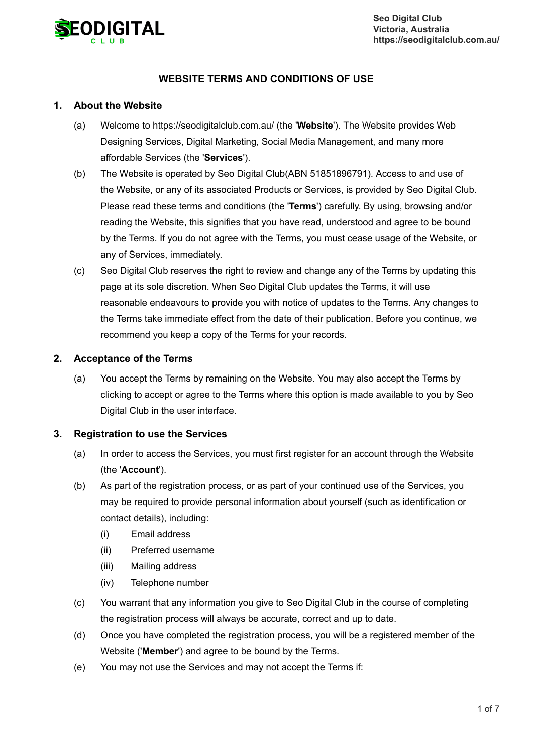

# **WEBSITE TERMS AND CONDITIONS OF USE**

### **1. About the Website**

- (a) Welcome to https://seodigitalclub.com.au/ (the '**Website**'). The Website provides Web Designing Services, Digital Marketing, Social Media Management, and many more affordable Services (the '**Services**').
- (b) The Website is operated by Seo Digital Club(ABN 51851896791). Access to and use of the Website, or any of its associated Products or Services, is provided by Seo Digital Club. Please read these terms and conditions (the '**Terms**') carefully. By using, browsing and/or reading the Website, this signifies that you have read, understood and agree to be bound by the Terms. If you do not agree with the Terms, you must cease usage of the Website, or any of Services, immediately.
- $(c)$ Seo Digital Club reserves the right to review and change any of the Terms by updating this page at its sole discretion. When Seo Digital Club updates the Terms, it will use reasonable endeavours to provide you with notice of updates to the Terms. Any changes to the Terms take immediate effect from the date of their publication. Before you continue, we recommend you keep a copy of the Terms for your records.

### **2. Acceptance of the Terms**

(a) You accept the Terms by remaining on the Website. You may also accept the Terms by clicking to accept or agree to the Terms where this option is made available to you by Seo Digital Club in the user interface.

### **3. Registration to use the Services**

- (a) In order to access the Services, you must first register for an account through the Website (the '**Account**').
- (b) As part of the registration process, or as part of your continued use of the Services, you may be required to provide personal information about yourself (such as identification or contact details), including:
	- (i) Email address
	- (ii) Preferred username
	- (iii) Mailing address
	- (iv) Telephone number
- (c) You warrant that any information you give to Seo Digital Club in the course of completing the registration process will always be accurate, correct and up to date.
- (d) Once you have completed the registration process, you will be a registered member of the Website ('**Member**') and agree to be bound by the Terms.
- (e) You may not use the Services and may not accept the Terms if: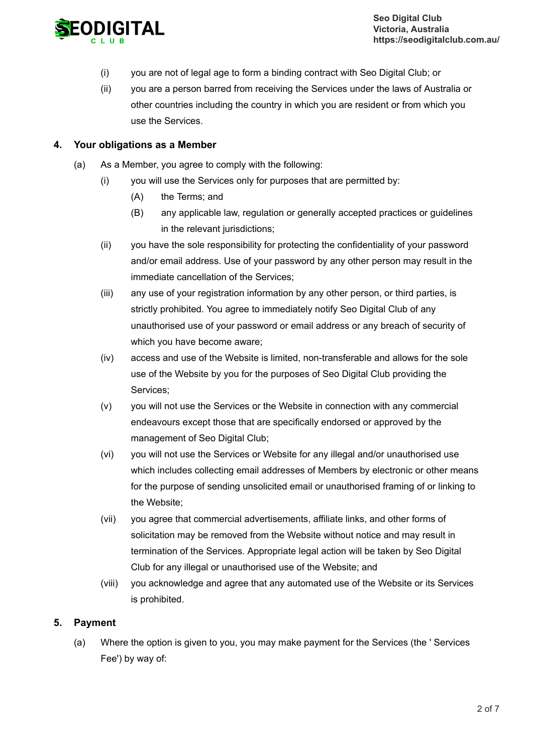

- (i) you are not of legal age to form a binding contract with Seo Digital Club; or
- (ii) you are a person barred from receiving the Services under the laws of Australia or other countries including the country in which you are resident or from which you use the Services.

### **4. Your obligations as a Member**

- (a) As a Member, you agree to comply with the following:
	- (i) you will use the Services only for purposes that are permitted by:
		- (A) the Terms; and
		- (B) any applicable law, regulation or generally accepted practices or guidelines in the relevant jurisdictions:
	- (ii) you have the sole responsibility for protecting the confidentiality of your password and/or email address. Use of your password by any other person may result in the immediate cancellation of the Services;
	- (iii) any use of your registration information by any other person, or third parties, is strictly prohibited. You agree to immediately notify Seo Digital Club of any unauthorised use of your password or email address or any breach of security of which you have become aware;
	- (iv) access and use of the Website is limited, non-transferable and allows for the sole use of the Website by you for the purposes of Seo Digital Club providing the Services;
	- (v) you will not use the Services or the Website in connection with any commercial endeavours except those that are specifically endorsed or approved by the management of Seo Digital Club;
	- (vi) you will not use the Services or Website for any illegal and/or unauthorised use which includes collecting email addresses of Members by electronic or other means for the purpose of sending unsolicited email or unauthorised framing of or linking to the Website;
	- (vii) you agree that commercial advertisements, affiliate links, and other forms of solicitation may be removed from the Website without notice and may result in termination of the Services. Appropriate legal action will be taken by Seo Digital Club for any illegal or unauthorised use of the Website; and
	- (viii) you acknowledge and agree that any automated use of the Website or its Services is prohibited.

# **5. Payment**

(a) Where the option is given to you, you may make payment for the Services (the ' Services Fee') by way of: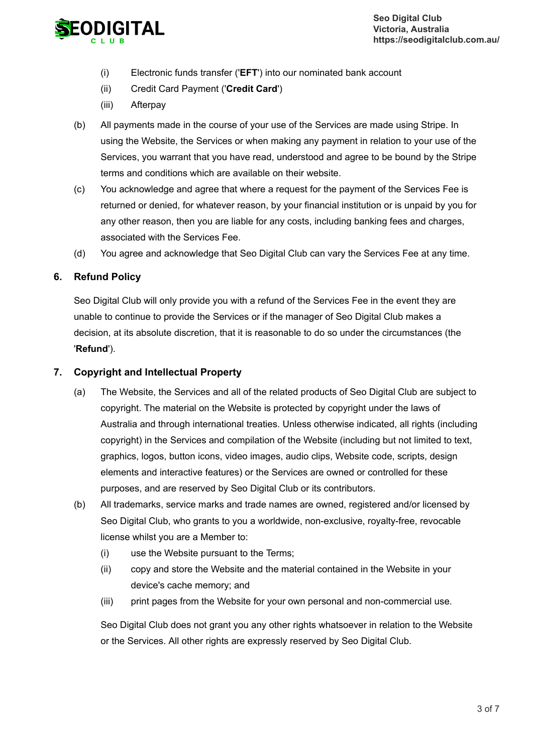

- (i) Electronic funds transfer ('**EFT**') into our nominated bank account
- (ii) Credit Card Payment ('**Credit Card**')
- (iii) Afterpay
- (b) All payments made in the course of your use of the Services are made using Stripe. In using the Website, the Services or when making any payment in relation to your use of the Services, you warrant that you have read, understood and agree to be bound by the Stripe terms and conditions which are available on their website.
- (c) You acknowledge and agree that where a request for the payment of the Services Fee is returned or denied, for whatever reason, by your financial institution or is unpaid by you for any other reason, then you are liable for any costs, including banking fees and charges, associated with the Services Fee.
- (d) You agree and acknowledge that Seo Digital Club can vary the Services Fee at any time.

## **6. Refund Policy**

Seo Digital Club will only provide you with a refund of the Services Fee in the event they are unable to continue to provide the Services or if the manager of Seo Digital Club makes a decision, at its absolute discretion, that it is reasonable to do so under the circumstances (the '**Refund**').

### **7. Copyright and Intellectual Property**

- (a) The Website, the Services and all of the related products of Seo Digital Club are subject to copyright. The material on the Website is protected by copyright under the laws of Australia and through international treaties. Unless otherwise indicated, all rights (including copyright) in the Services and compilation of the Website (including but not limited to text, graphics, logos, button icons, video images, audio clips, Website code, scripts, design elements and interactive features) or the Services are owned or controlled for these purposes, and are reserved by Seo Digital Club or its contributors.
- (b) All trademarks, service marks and trade names are owned, registered and/or licensed by Seo Digital Club, who grants to you a worldwide, non-exclusive, royalty-free, revocable license whilst you are a Member to:
	- (i) use the Website pursuant to the Terms;
	- (ii) copy and store the Website and the material contained in the Website in your device's cache memory; and
	- (iii) print pages from the Website for your own personal and non-commercial use.

Seo Digital Club does not grant you any other rights whatsoever in relation to the Website or the Services. All other rights are expressly reserved by Seo Digital Club.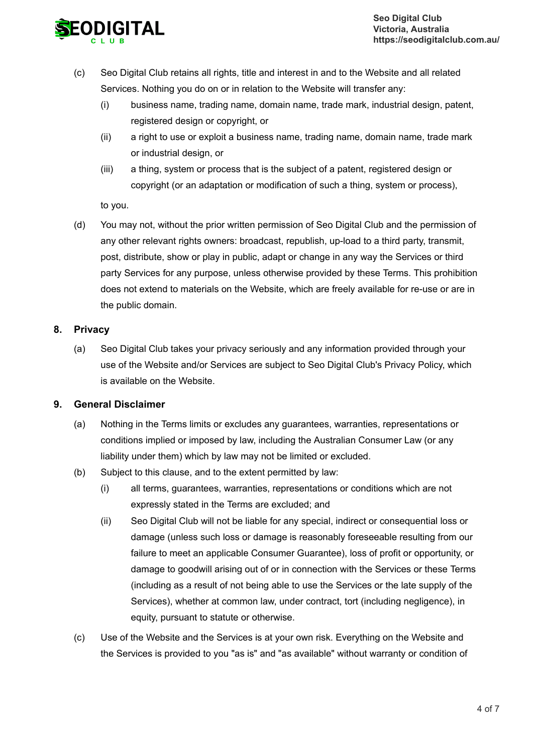

- $(c)$ Seo Digital Club retains all rights, title and interest in and to the Website and all related Services. Nothing you do on or in relation to the Website will transfer any:
	- (i) business name, trading name, domain name, trade mark, industrial design, patent, registered design or copyright, or
	- (ii) a right to use or exploit a business name, trading name, domain name, trade mark or industrial design, or
	- (iii) a thing, system or process that is the subject of a patent, registered design or copyright (or an adaptation or modification of such a thing, system or process),

to you.

(d) You may not, without the prior written permission of Seo Digital Club and the permission of any other relevant rights owners: broadcast, republish, up-load to a third party, transmit, post, distribute, show or play in public, adapt or change in any way the Services or third party Services for any purpose, unless otherwise provided by these Terms. This prohibition does not extend to materials on the Website, which are freely available for re-use or are in the public domain.

## **8. Privacy**

(a) Seo Digital Club takes your privacy seriously and any information provided through your use of the Website and/or Services are subject to Seo Digital Club's Privacy Policy, which is available on the Website.

# **9. General Disclaimer**

- (a) Nothing in the Terms limits or excludes any guarantees, warranties, representations or conditions implied or imposed by law, including the Australian Consumer Law (or any liability under them) which by law may not be limited or excluded.
- (b) Subject to this clause, and to the extent permitted by law:
	- (i) all terms, guarantees, warranties, representations or conditions which are not expressly stated in the Terms are excluded; and
	- (ii) Seo Digital Club will not be liable for any special, indirect or consequential loss or damage (unless such loss or damage is reasonably foreseeable resulting from our failure to meet an applicable Consumer Guarantee), loss of profit or opportunity, or damage to goodwill arising out of or in connection with the Services or these Terms (including as a result of not being able to use the Services or the late supply of the Services), whether at common law, under contract, tort (including negligence), in equity, pursuant to statute or otherwise.
- (c) Use of the Website and the Services is at your own risk. Everything on the Website and the Services is provided to you "as is" and "as available" without warranty or condition of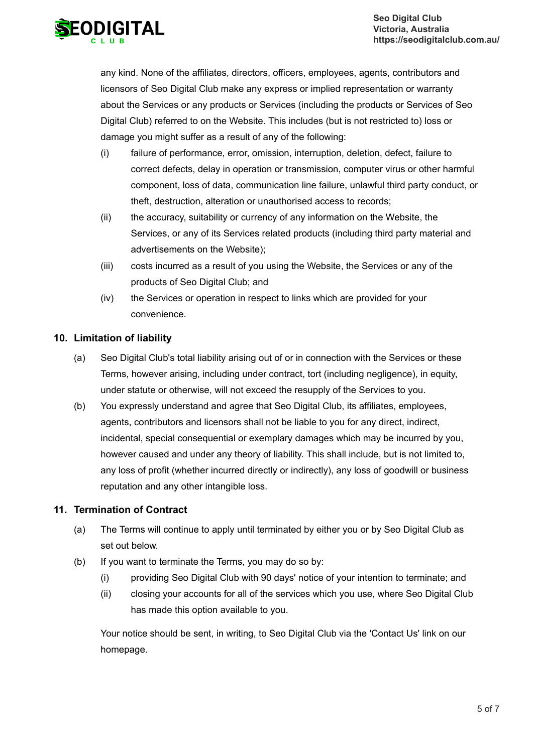

any kind. None of the affiliates, directors, officers, employees, agents, contributors and licensors of Seo Digital Club make any express or implied representation or warranty about the Services or any products or Services (including the products or Services of Seo Digital Club) referred to on the Website. This includes (but is not restricted to) loss or damage you might suffer as a result of any of the following:

- (i) failure of performance, error, omission, interruption, deletion, defect, failure to correct defects, delay in operation or transmission, computer virus or other harmful component, loss of data, communication line failure, unlawful third party conduct, or theft, destruction, alteration or unauthorised access to records;
- (ii) the accuracy, suitability or currency of any information on the Website, the Services, or any of its Services related products (including third party material and advertisements on the Website);
- (iii) costs incurred as a result of you using the Website, the Services or any of the products of Seo Digital Club; and
- (iv) the Services or operation in respect to links which are provided for your convenience.

# **10. Limitation of liability**

- (a) Seo Digital Club's total liability arising out of or in connection with the Services or these Terms, however arising, including under contract, tort (including negligence), in equity, under statute or otherwise, will not exceed the resupply of the Services to you.
- (b) You expressly understand and agree that Seo Digital Club, its affiliates, employees, agents, contributors and licensors shall not be liable to you for any direct, indirect, incidental, special consequential or exemplary damages which may be incurred by you, however caused and under any theory of liability. This shall include, but is not limited to, any loss of profit (whether incurred directly or indirectly), any loss of goodwill or business reputation and any other intangible loss.

# **11. Termination of Contract**

- (a) The Terms will continue to apply until terminated by either you or by Seo Digital Club as set out below.
- (b) If you want to terminate the Terms, you may do so by:
	- (i) providing Seo Digital Club with 90 days' notice of your intention to terminate; and
	- (ii) closing your accounts for all of the services which you use, where Seo Digital Club has made this option available to you.

Your notice should be sent, in writing, to Seo Digital Club via the 'Contact Us' link on our homepage.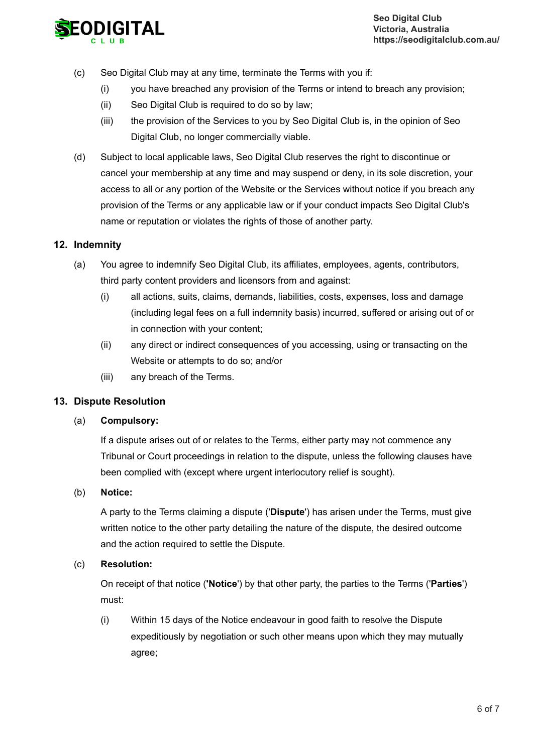

- (c) Seo Digital Club may at any time, terminate the Terms with you if:
	- (i) you have breached any provision of the Terms or intend to breach any provision;
	- (ii) Seo Digital Club is required to do so by law;
	- (iii) the provision of the Services to you by Seo Digital Club is, in the opinion of Seo Digital Club, no longer commercially viable.
- (d) Subject to local applicable laws, Seo Digital Club reserves the right to discontinue or cancel your membership at any time and may suspend or deny, in its sole discretion, your access to all or any portion of the Website or the Services without notice if you breach any provision of the Terms or any applicable law or if your conduct impacts Seo Digital Club's name or reputation or violates the rights of those of another party.

# **12. Indemnity**

- (a) You agree to indemnify Seo Digital Club, its affiliates, employees, agents, contributors, third party content providers and licensors from and against:
	- (i) all actions, suits, claims, demands, liabilities, costs, expenses, loss and damage (including legal fees on a full indemnity basis) incurred, suffered or arising out of or in connection with your content;
	- (ii) any direct or indirect consequences of you accessing, using or transacting on the Website or attempts to do so; and/or
	- (iii) any breach of the Terms.

# **13. Dispute Resolution**

#### (a) **Compulsory:**

If a dispute arises out of or relates to the Terms, either party may not commence any Tribunal or Court proceedings in relation to the dispute, unless the following clauses have been complied with (except where urgent interlocutory relief is sought).

(b) **Notice:**

> A party to the Terms claiming a dispute ('**Dispute**') has arisen under the Terms, must give written notice to the other party detailing the nature of the dispute, the desired outcome and the action required to settle the Dispute.

(c) **Resolution:**

> On receipt of that notice (**'Notice**') by that other party, the parties to the Terms ('**Parties**') must:

(i) Within 15 days of the Notice endeavour in good faith to resolve the Dispute expeditiously by negotiation or such other means upon which they may mutually agree;